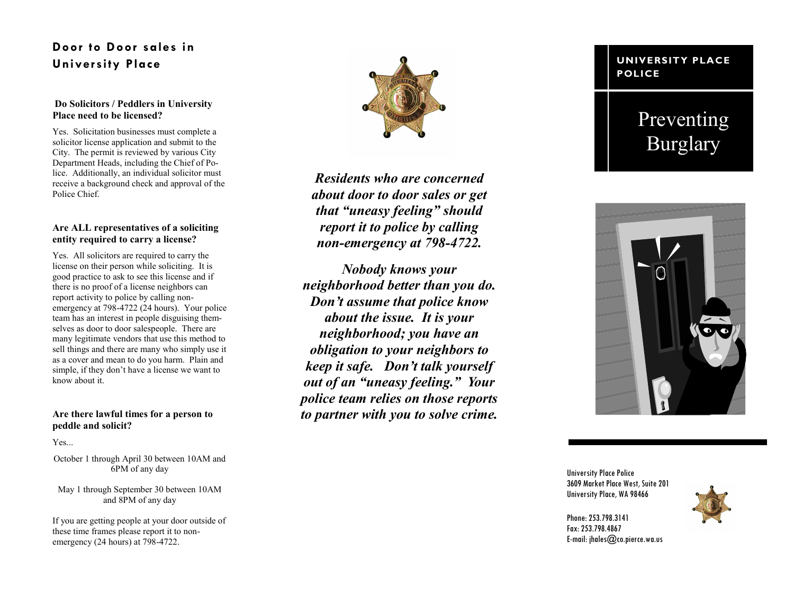### **Door to Door sales in University Place**

#### **Do Solicitors / Peddlers in University Place need to be licensed?**

Yes. Solicitation businesses must complete a solicitor license application and submit to the City. The permit is reviewed by various City Department Heads, including the Chief of Police. Additionally, an individual solicitor must receive a background check and approval of the Police Chief.

#### **Are ALL representatives of a soliciting entity required to carry a license?**

Yes. All solicitors are required to carry the license on their person while soliciting. It is good practice to ask to see this license and if there is no proof of a license neighbors can report activity to police by calling non emergency at 798 -4722 (24 hours). Your police team has an interest in people disguising themselves as door to door salespeople. There are many legitimate vendors that use this method to sell things and there are many who simply use it as a cover and mean to do you harm. Plain and simple, if they don't have a license we want to know about it.

#### **Are there lawful times for a person to peddle and solicit?**

Yes.

October 1 through April 30 between 10AM and 6PM of any day

May 1 through September 30 between 10AM and 8PM of any day

If you are getting people at your door outside of these time frames please report it to non emergency (24 hours) at 798 -4722.



*Residents who are concerned about door to door sales or get that "uneasy feeling" should report it to police by calling non -emergency at 798 -4722.* 

*Nobody knows your neighborhood better than you do. Don't assume that police know about the issue. It is your neighborhood; you have an obligation to your neighbors to keep it safe. Don't talk yourself out of an "uneasy feeling." Your police team relies on those reports to partner with you to solve crime.* 

#### **UNIVERSITY PLACE POLICE**

# Preventing Burglary



University Place Police 3609 Market Place West, Suite 201 University Place, WA 98466



Phone: 253.798.3141 Fax: 253.798.4867 E-mail: jhales@co.pierce.wa.us